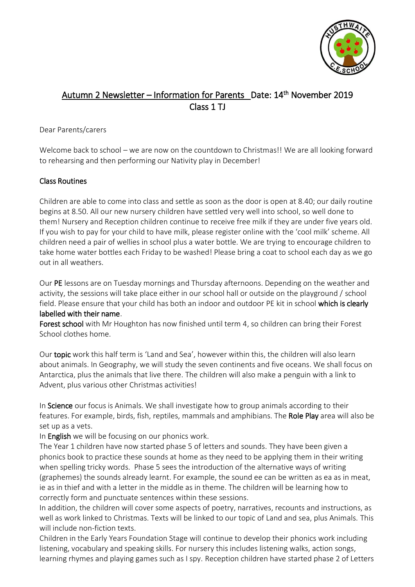

# Autumn 2 Newsletter – Information for Parents Date: 14<sup>th</sup> November 2019 Class 1 TJ

#### Dear Parents/carers

Welcome back to school – we are now on the countdown to Christmas!! We are all looking forward to rehearsing and then performing our Nativity play in December!

### Class Routines

Children are able to come into class and settle as soon as the door is open at 8.40; our daily routine begins at 8.50. All our new nursery children have settled very well into school, so well done to them! Nursery and Reception children continue to receive free milk if they are under five years old. If you wish to pay for your child to have milk, please register online with the 'cool milk' scheme. All children need a pair of wellies in school plus a water bottle. We are trying to encourage children to take home water bottles each Friday to be washed! Please bring a coat to school each day as we go out in all weathers.

Our PE lessons are on Tuesday mornings and Thursday afternoons. Depending on the weather and activity, the sessions will take place either in our school hall or outside on the playground / school field. Please ensure that your child has both an indoor and outdoor PE kit in school which is clearly labelled with their name.

Forest school with Mr Houghton has now finished until term 4, so children can bring their Forest School clothes home.

Our topic work this half term is 'Land and Sea', however within this, the children will also learn about animals. In Geography, we will study the seven continents and five oceans. We shall focus on Antarctica, plus the animals that live there. The children will also make a penguin with a link to Advent, plus various other Christmas activities!

In Science our focus is Animals. We shall investigate how to group animals according to their features. For example, birds, fish, reptiles, mammals and amphibians. The Role Play area will also be set up as a vets.

In **English** we will be focusing on our phonics work.

The Year 1 children have now started phase 5 of letters and sounds. They have been given a phonics book to practice these sounds at home as they need to be applying them in their writing when spelling tricky words. Phase 5 sees the introduction of the alternative ways of writing (graphemes) the sounds already learnt. For example, the sound ee can be written as ea as in meat, ie as in thief and with a letter in the middle as in theme. The children will be learning how to correctly form and punctuate sentences within these sessions.

In addition, the children will cover some aspects of poetry, narratives, recounts and instructions, as well as work linked to Christmas. Texts will be linked to our topic of Land and sea, plus Animals. This will include non-fiction texts.

Children in the Early Years Foundation Stage will continue to develop their phonics work including listening, vocabulary and speaking skills. For nursery this includes listening walks, action songs, learning rhymes and playing games such as I spy. Reception children have started phase 2 of Letters